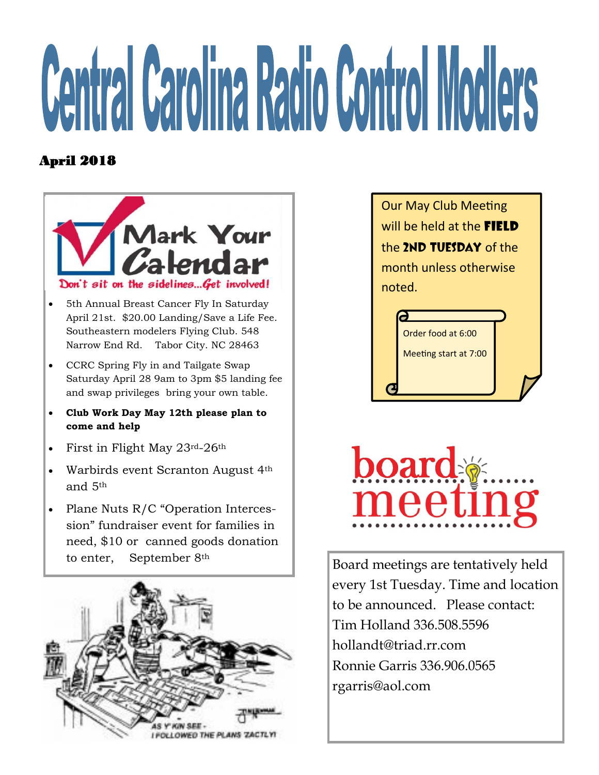## **Central Carolina Radio Control Modlers**

## April 2018



- 5th Annual Breast Cancer Fly In Saturday April 21st. \$20.00 Landing/Save a Life Fee. Southeastern modelers Flying Club. 548 Narrow End Rd. Tabor City. NC 28463
- CCRC Spring Fly in and Tailgate Swap Saturday April 28 9am to 3pm \$5 landing fee and swap privileges bring your own table.
- **Club Work Day May 12th please plan to come and help**
- First in Flight May 23rd-26th
- Warbirds event Scranton August 4<sup>th</sup> and 5th
- Plane Nuts R/C "Operation Intercession" fundraiser event for families in need, \$10 or canned goods donation to enter, September 8th



Our May Club Meeting will be held at the **field** the 2ND TUESDAY of the month unless otherwise noted. Order food at 6:00

Meeting start at 7:00



Board meetings are tentatively held every 1st Tuesday. Time and location to be announced. Please contact: Tim Holland 336.508.5596 hollandt@triad.rr.com Ronnie Garris 336.906.0565 rgarris@aol.com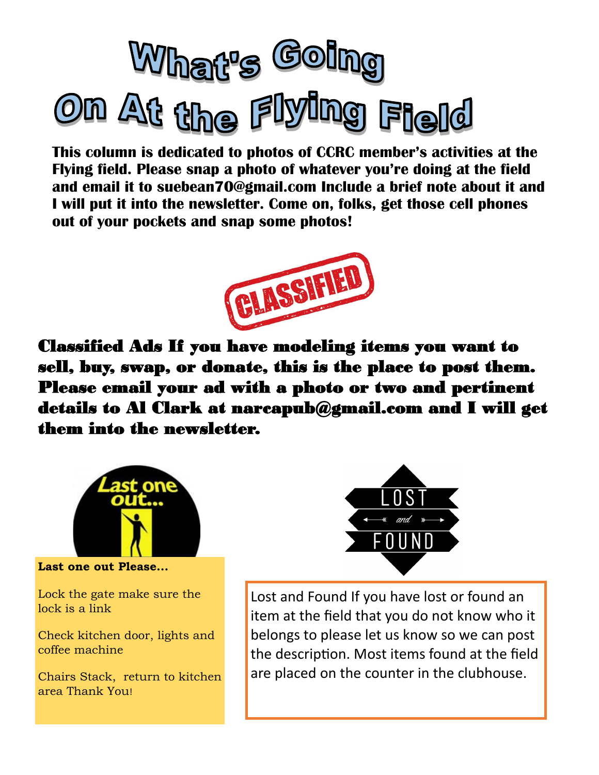

**This column is dedicated to photos of CCRC member's activities at the Flying field. Please snap a photo of whatever you're doing at the field and email it to suebean70@gmail.com Include a brief note about it and I will put it into the newsletter. Come on, folks, get those cell phones out of your pockets and snap some photos!** 



Classified Ads If you have modeling items you want to sell, buy, swap, or donate, this is the place to post them. Please email your ad with a photo or two and pertinent details to Al Clark at narcapub@gmail.com and I will get them into the newsletter.



**Last one out Please...** 

Lock the gate make sure the lock is a link

Check kitchen door, lights and coffee machine

Chairs Stack, return to kitchen area Thank You!



Lost and Found If you have lost or found an item at the field that you do not know who it belongs to please let us know so we can post the description. Most items found at the field are placed on the counter in the clubhouse.